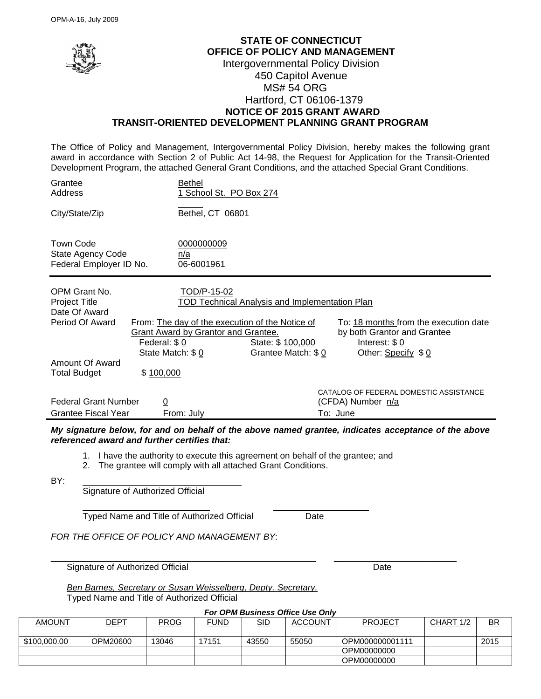

## **STATE OF CONNECTICUT OFFICE OF POLICY AND MANAGEMENT** Intergovernmental Policy Division 450 Capitol Avenue MS# 54 ORG Hartford, CT 06106-1379  **NOTICE OF 2015 GRANT AWARD TRANSIT-ORIENTED DEVELOPMENT PLANNING GRANT PROGRAM**

The Office of Policy and Management, Intergovernmental Policy Division, hereby makes the following grant award in accordance with Section 2 of Public Act 14-98, the Request for Application for the Transit-Oriented Development Program, the attached General Grant Conditions, and the attached Special Grant Conditions.

| Grantee<br>Address                                                                                                  | Bethel<br>1 School St. PO Box 274                                                                                                                      |                                                                                                  |                                                                                                              |
|---------------------------------------------------------------------------------------------------------------------|--------------------------------------------------------------------------------------------------------------------------------------------------------|--------------------------------------------------------------------------------------------------|--------------------------------------------------------------------------------------------------------------|
| City/State/Zip                                                                                                      | Bethel, CT 06801                                                                                                                                       |                                                                                                  |                                                                                                              |
| <b>Town Code</b><br>State Agency Code<br>Federal Employer ID No.                                                    | 0000000009<br>n/a<br>06-6001961                                                                                                                        |                                                                                                  |                                                                                                              |
| OPM Grant No.<br><b>Project Title</b><br>Date Of Award<br>Period Of Award<br>Amount Of Award<br><b>Total Budget</b> | TOD/P-15-02<br>From: The day of the execution of the Notice of<br>Grant Award by Grantor and Grantee.<br>Federal: \$0<br>State Match: \$0<br>\$100,000 | <b>TOD Technical Analysis and Implementation Plan</b><br>State: \$ 100,000<br>Grantee Match: \$0 | To: 18 months from the execution date<br>by both Grantor and Grantee<br>Interest: $$0$<br>Other: Specify \$0 |
| <b>Federal Grant Number</b><br>Grantee Fiscal Year                                                                  | $\overline{0}$<br>From: July                                                                                                                           |                                                                                                  | CATALOG OF FEDERAL DOMESTIC ASSISTANCE<br>(CFDA) Number n/a<br>To: June                                      |

*My signature below, for and on behalf of the above named grantee, indicates acceptance of the above referenced award and further certifies that:* 

1. I have the authority to execute this agreement on behalf of the grantee; and

2. The grantee will comply with all attached Grant Conditions.

BY:

Signature of Authorized Official

Typed Name and Title of Authorized Official Date

*FOR THE OFFICE OF POLICY AND MANAGEMENT BY*:

Signature of Authorized Official Date Controller and Date Date

*Ben Barnes, Secretary or Susan Weisselberg, Depty. Secretary.* Typed Name and Title of Authorized Official

*For OPM Business Office Use Only*

\_\_\_\_\_\_\_\_\_\_\_\_\_\_\_\_\_\_\_\_\_\_\_\_\_\_\_\_\_\_\_\_\_\_\_\_\_\_\_\_\_\_\_\_\_\_\_\_\_\_\_\_\_\_ \_\_\_\_\_\_\_\_\_\_\_\_\_\_\_\_\_\_\_\_\_\_\_\_\_

| AMOUNT       | DEPT     | <b>PROG</b> | FUND  | SID   | <b>ACCOUNT</b> | <b>PROJECT</b>  | CHART 1/2 | <b>BR</b> |
|--------------|----------|-------------|-------|-------|----------------|-----------------|-----------|-----------|
|              |          |             |       |       |                |                 |           |           |
| \$100,000.00 | OPM20600 | 13046       | 17151 | 43550 | 55050          | OPM000000001111 |           | 2015      |
|              |          |             |       |       |                | OPM00000000     |           |           |
|              |          |             |       |       |                | OPM00000000     |           |           |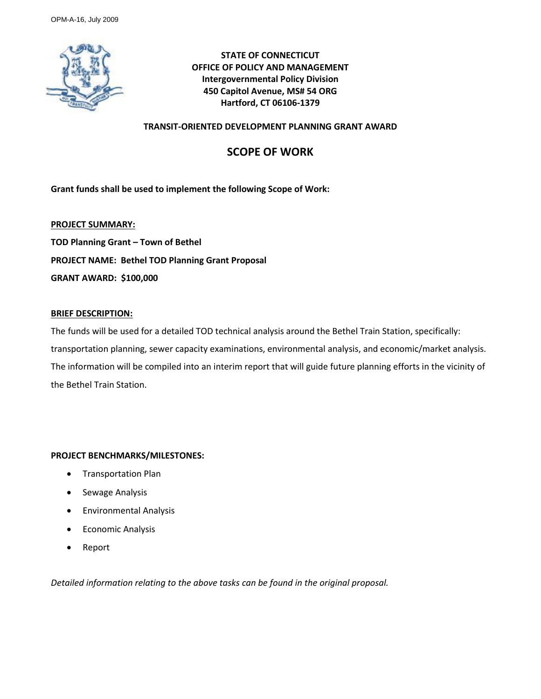

**STATE OF CONNECTICUT OFFICE OF POLICY AND MANAGEMENT Intergovernmental Policy Division 450 Capitol Avenue, MS# 54 ORG Hartford, CT 06106-1379**

### **TRANSIT-ORIENTED DEVELOPMENT PLANNING GRANT AWARD**

# **SCOPE OF WORK**

**Grant funds shall be used to implement the following Scope of Work:** 

**PROJECT SUMMARY: TOD Planning Grant – Town of Bethel PROJECT NAME: Bethel TOD Planning Grant Proposal GRANT AWARD: \$100,000**

### **BRIEF DESCRIPTION:**

The funds will be used for a detailed TOD technical analysis around the Bethel Train Station, specifically: transportation planning, sewer capacity examinations, environmental analysis, and economic/market analysis. The information will be compiled into an interim report that will guide future planning efforts in the vicinity of the Bethel Train Station.

### **PROJECT BENCHMARKS/MILESTONES:**

- Transportation Plan
- Sewage Analysis
- **•** Environmental Analysis
- Economic Analysis
- Report

*Detailed information relating to the above tasks can be found in the original proposal.*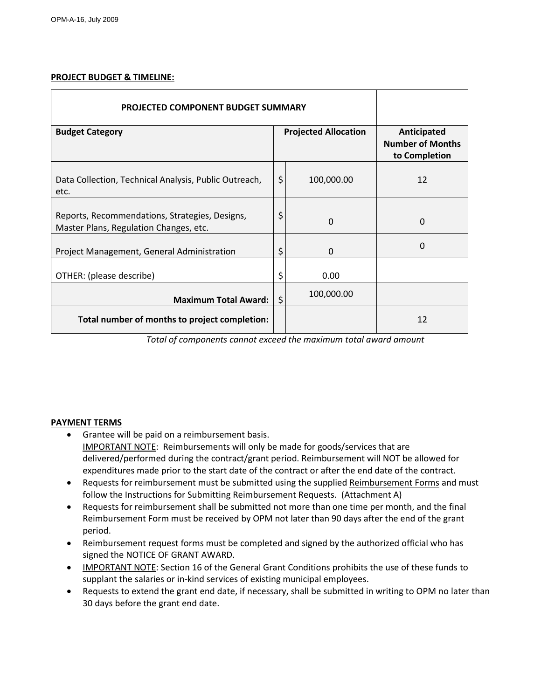### **PROJECT BUDGET & TIMELINE:**

| <b>PROJECTED COMPONENT BUDGET SUMMARY</b>                                                |                             |            |                                                         |
|------------------------------------------------------------------------------------------|-----------------------------|------------|---------------------------------------------------------|
| <b>Budget Category</b>                                                                   | <b>Projected Allocation</b> |            | Anticipated<br><b>Number of Months</b><br>to Completion |
| Data Collection, Technical Analysis, Public Outreach,<br>etc.                            | \$                          | 100,000.00 | 12                                                      |
| Reports, Recommendations, Strategies, Designs,<br>Master Plans, Regulation Changes, etc. | \$                          | 0          | $\Omega$                                                |
| Project Management, General Administration                                               | \$                          | 0          | 0                                                       |
| OTHER: (please describe)                                                                 | \$                          | 0.00       |                                                         |
| <b>Maximum Total Award:</b>                                                              | \$                          | 100,000.00 |                                                         |
| Total number of months to project completion:                                            |                             |            | 12                                                      |

*Total of components cannot exceed the maximum total award amount*

### **PAYMENT TERMS**

- Grantee will be paid on a reimbursement basis. IMPORTANT NOTE: Reimbursements will only be made for goods/services that are delivered/performed during the contract/grant period. Reimbursement will NOT be allowed for expenditures made prior to the start date of the contract or after the end date of the contract.
- Requests for reimbursement must be submitted using the supplied Reimbursement Forms and must follow the Instructions for Submitting Reimbursement Requests. (Attachment A)
- Requests for reimbursement shall be submitted not more than one time per month, and the final Reimbursement Form must be received by OPM not later than 90 days after the end of the grant period.
- Reimbursement request forms must be completed and signed by the authorized official who has signed the NOTICE OF GRANT AWARD.
- IMPORTANT NOTE: Section 16 of the General Grant Conditions prohibits the use of these funds to supplant the salaries or in-kind services of existing municipal employees.
- Requests to extend the grant end date, if necessary, shall be submitted in writing to OPM no later than 30 days before the grant end date.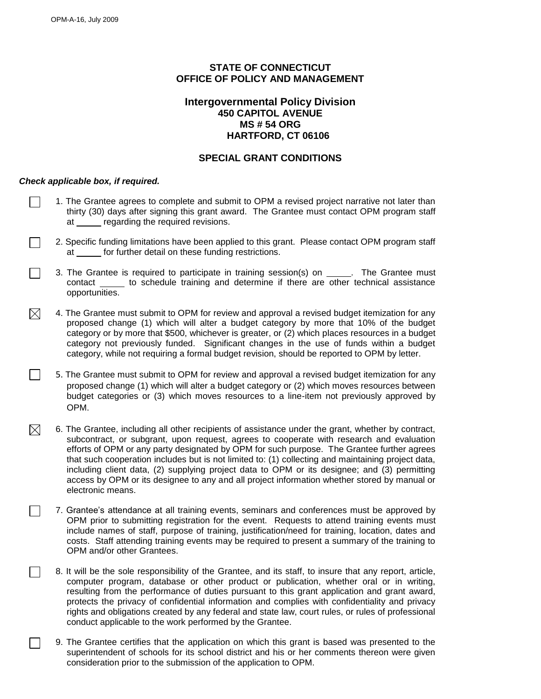## **STATE OF CONNECTICUT OFFICE OF POLICY AND MANAGEMENT**

### **Intergovernmental Policy Division 450 CAPITOL AVENUE MS # 54 ORG HARTFORD, CT 06106**

### **SPECIAL GRANT CONDITIONS**

#### *Check applicable box, if required.*

 $\Box$ 

- 1. The Grantee agrees to complete and submit to OPM a revised project narrative not later than thirty (30) days after signing this grant award. The Grantee must contact OPM program staff at regarding the required revisions.
- 2. Specific funding limitations have been applied to this grant. Please contact OPM program staff at for further detail on these funding restrictions.
- 3. The Grantee is required to participate in training session(s) on \_\_\_\_\_. The Grantee must contact to schedule training and determine if there are other technical assistance opportunities.
- 4. The Grantee must submit to OPM for review and approval a revised budget itemization for any  $\boxtimes$ proposed change (1) which will alter a budget category by more that 10% of the budget category or by more that \$500, whichever is greater, or (2) which places resources in a budget category not previously funded. Significant changes in the use of funds within a budget category, while not requiring a formal budget revision, should be reported to OPM by letter.
	- 5. The Grantee must submit to OPM for review and approval a revised budget itemization for any proposed change (1) which will alter a budget category or (2) which moves resources between budget categories or (3) which moves resources to a line-item not previously approved by OPM.
- $\boxtimes$ 6. The Grantee, including all other recipients of assistance under the grant, whether by contract, subcontract, or subgrant, upon request, agrees to cooperate with research and evaluation efforts of OPM or any party designated by OPM for such purpose. The Grantee further agrees that such cooperation includes but is not limited to: (1) collecting and maintaining project data, including client data, (2) supplying project data to OPM or its designee; and (3) permitting access by OPM or its designee to any and all project information whether stored by manual or electronic means.
	- 7. Grantee's attendance at all training events, seminars and conferences must be approved by OPM prior to submitting registration for the event. Requests to attend training events must include names of staff, purpose of training, justification/need for training, location, dates and costs. Staff attending training events may be required to present a summary of the training to OPM and/or other Grantees.
	- 8. It will be the sole responsibility of the Grantee, and its staff, to insure that any report, article, computer program, database or other product or publication, whether oral or in writing, resulting from the performance of duties pursuant to this grant application and grant award, protects the privacy of confidential information and complies with confidentiality and privacy rights and obligations created by any federal and state law, court rules, or rules of professional conduct applicable to the work performed by the Grantee.
		- 9. The Grantee certifies that the application on which this grant is based was presented to the superintendent of schools for its school district and his or her comments thereon were given consideration prior to the submission of the application to OPM.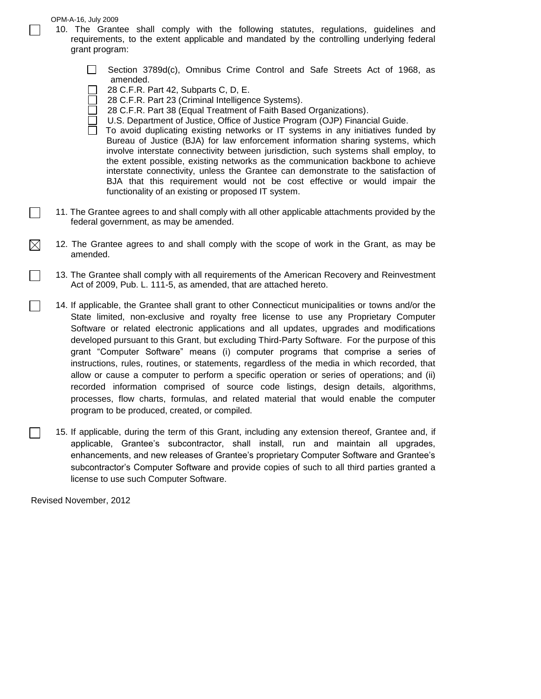- 10. The Grantee shall comply with the following statutes, regulations, guidelines and requirements, to the extent applicable and mandated by the controlling underlying federal grant program:
	- $\Box$ Section 3789d(c), Omnibus Crime Control and Safe Streets Act of 1968, as amended.
	- 28 C.F.R. Part 42, Subparts C, D, E.
	- 28 C.F.R. Part 23 (Criminal Intelligence Systems).
	- 28 C.F.R. Part 38 (Equal Treatment of Faith Based Organizations).
	- U.S. Department of Justice, Office of Justice Program (OJP) Financial Guide.
	- To avoid duplicating existing networks or IT systems in any initiatives funded by Bureau of Justice (BJA) for law enforcement information sharing systems, which involve interstate connectivity between jurisdiction, such systems shall employ, to the extent possible, existing networks as the communication backbone to achieve interstate connectivity, unless the Grantee can demonstrate to the satisfaction of BJA that this requirement would not be cost effective or would impair the functionality of an existing or proposed IT system.
- 11. The Grantee agrees to and shall comply with all other applicable attachments provided by the federal government, as may be amended.
- $\bowtie$ 12. The Grantee agrees to and shall comply with the scope of work in the Grant, as may be amended.
	- 13. The Grantee shall comply with all requirements of the American Recovery and Reinvestment Act of 2009, Pub. L. 111-5, as amended, that are attached hereto.
	- 14. If applicable, the Grantee shall grant to other Connecticut municipalities or towns and/or the State limited, non-exclusive and royalty free license to use any Proprietary Computer Software or related electronic applications and all updates, upgrades and modifications developed pursuant to this Grant, but excluding Third-Party Software. For the purpose of this grant "Computer Software" means (i) computer programs that comprise a series of instructions, rules, routines, or statements, regardless of the media in which recorded, that allow or cause a computer to perform a specific operation or series of operations; and (ii) recorded information comprised of source code listings, design details, algorithms, processes, flow charts, formulas, and related material that would enable the computer program to be produced, created, or compiled.
- $\Box$ 15. If applicable, during the term of this Grant, including any extension thereof, Grantee and, if applicable, Grantee's subcontractor, shall install, run and maintain all upgrades, enhancements, and new releases of Grantee's proprietary Computer Software and Grantee's subcontractor's Computer Software and provide copies of such to all third parties granted a license to use such Computer Software.

Revised November, 2012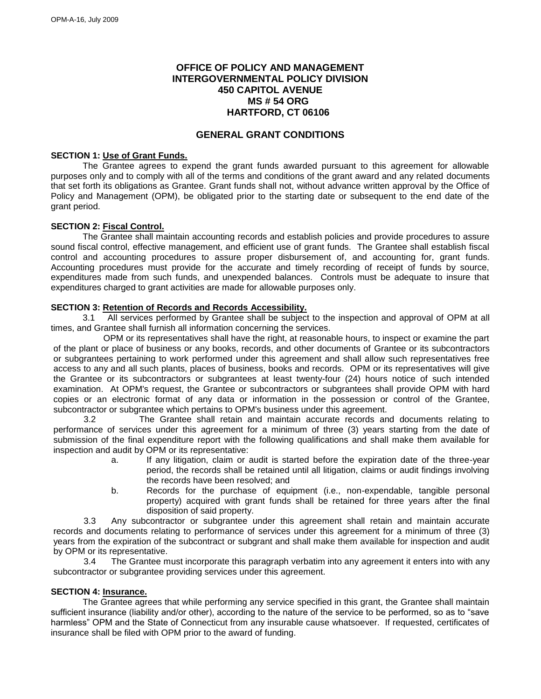## **OFFICE OF POLICY AND MANAGEMENT INTERGOVERNMENTAL POLICY DIVISION 450 CAPITOL AVENUE MS # 54 ORG HARTFORD, CT 06106**

### **GENERAL GRANT CONDITIONS**

#### **SECTION 1: Use of Grant Funds.**

The Grantee agrees to expend the grant funds awarded pursuant to this agreement for allowable purposes only and to comply with all of the terms and conditions of the grant award and any related documents that set forth its obligations as Grantee. Grant funds shall not, without advance written approval by the Office of Policy and Management (OPM), be obligated prior to the starting date or subsequent to the end date of the grant period.

#### **SECTION 2: Fiscal Control.**

The Grantee shall maintain accounting records and establish policies and provide procedures to assure sound fiscal control, effective management, and efficient use of grant funds. The Grantee shall establish fiscal control and accounting procedures to assure proper disbursement of, and accounting for, grant funds. Accounting procedures must provide for the accurate and timely recording of receipt of funds by source, expenditures made from such funds, and unexpended balances. Controls must be adequate to insure that expenditures charged to grant activities are made for allowable purposes only.

#### **SECTION 3: Retention of Records and Records Accessibility.**

3.1 All services performed by Grantee shall be subject to the inspection and approval of OPM at all times, and Grantee shall furnish all information concerning the services.

OPM or its representatives shall have the right, at reasonable hours, to inspect or examine the part of the plant or place of business or any books, records, and other documents of Grantee or its subcontractors or subgrantees pertaining to work performed under this agreement and shall allow such representatives free access to any and all such plants, places of business, books and records. OPM or its representatives will give the Grantee or its subcontractors or subgrantees at least twenty-four (24) hours notice of such intended examination. At OPM's request, the Grantee or subcontractors or subgrantees shall provide OPM with hard copies or an electronic format of any data or information in the possession or control of the Grantee, subcontractor or subgrantee which pertains to OPM's business under this agreement.

3.2 The Grantee shall retain and maintain accurate records and documents relating to performance of services under this agreement for a minimum of three (3) years starting from the date of submission of the final expenditure report with the following qualifications and shall make them available for inspection and audit by OPM or its representative:

- a. If any litigation, claim or audit is started before the expiration date of the three-year period, the records shall be retained until all litigation, claims or audit findings involving the records have been resolved; and
- b. Records for the purchase of equipment (i.e., non-expendable, tangible personal property) acquired with grant funds shall be retained for three years after the final disposition of said property.

3.3 Any subcontractor or subgrantee under this agreement shall retain and maintain accurate records and documents relating to performance of services under this agreement for a minimum of three (3) years from the expiration of the subcontract or subgrant and shall make them available for inspection and audit by OPM or its representative.

3.4 The Grantee must incorporate this paragraph verbatim into any agreement it enters into with any subcontractor or subgrantee providing services under this agreement.

#### **SECTION 4: Insurance.**

The Grantee agrees that while performing any service specified in this grant, the Grantee shall maintain sufficient insurance (liability and/or other), according to the nature of the service to be performed, so as to "save harmless" OPM and the State of Connecticut from any insurable cause whatsoever. If requested, certificates of insurance shall be filed with OPM prior to the award of funding.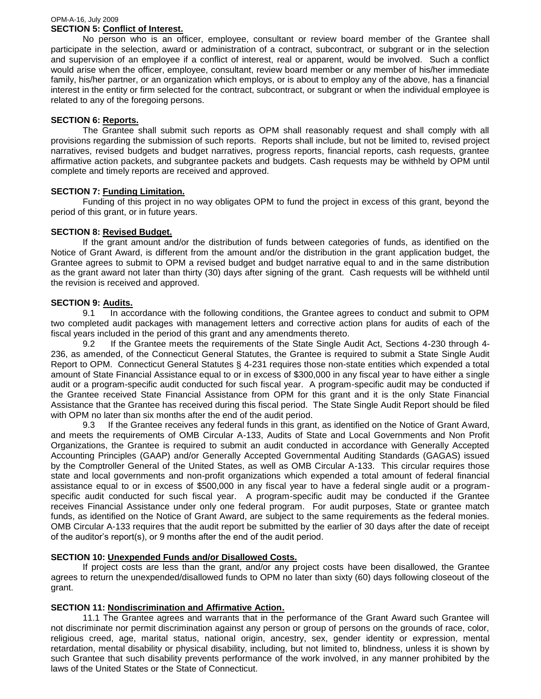#### OPM-A-16, July 2009 **SECTION 5: Conflict of Interest.**

No person who is an officer, employee, consultant or review board member of the Grantee shall participate in the selection, award or administration of a contract, subcontract, or subgrant or in the selection and supervision of an employee if a conflict of interest, real or apparent, would be involved. Such a conflict would arise when the officer, employee, consultant, review board member or any member of his/her immediate family, his/her partner, or an organization which employs, or is about to employ any of the above, has a financial interest in the entity or firm selected for the contract, subcontract, or subgrant or when the individual employee is related to any of the foregoing persons.

### **SECTION 6: Reports.**

The Grantee shall submit such reports as OPM shall reasonably request and shall comply with all provisions regarding the submission of such reports. Reports shall include, but not be limited to, revised project narratives, revised budgets and budget narratives, progress reports, financial reports, cash requests, grantee affirmative action packets, and subgrantee packets and budgets. Cash requests may be withheld by OPM until complete and timely reports are received and approved.

## **SECTION 7: Funding Limitation.**

Funding of this project in no way obligates OPM to fund the project in excess of this grant, beyond the period of this grant, or in future years.

### **SECTION 8: Revised Budget.**

If the grant amount and/or the distribution of funds between categories of funds, as identified on the Notice of Grant Award, is different from the amount and/or the distribution in the grant application budget, the Grantee agrees to submit to OPM a revised budget and budget narrative equal to and in the same distribution as the grant award not later than thirty (30) days after signing of the grant. Cash requests will be withheld until the revision is received and approved.

### **SECTION 9: Audits.**

9.1 In accordance with the following conditions, the Grantee agrees to conduct and submit to OPM two completed audit packages with management letters and corrective action plans for audits of each of the fiscal years included in the period of this grant and any amendments thereto.

9.2 If the Grantee meets the requirements of the State Single Audit Act, Sections 4-230 through 4- 236, as amended, of the Connecticut General Statutes, the Grantee is required to submit a State Single Audit Report to OPM. Connecticut General Statutes § 4-231 requires those non-state entities which expended a total amount of State Financial Assistance equal to or in excess of \$300,000 in any fiscal year to have either a single audit or a program-specific audit conducted for such fiscal year. A program-specific audit may be conducted if the Grantee received State Financial Assistance from OPM for this grant and it is the only State Financial Assistance that the Grantee has received during this fiscal period. The State Single Audit Report should be filed with OPM no later than six months after the end of the audit period.

9.3 If the Grantee receives any federal funds in this grant, as identified on the Notice of Grant Award, and meets the requirements of OMB Circular A-133, Audits of State and Local Governments and Non Profit Organizations, the Grantee is required to submit an audit conducted in accordance with Generally Accepted Accounting Principles (GAAP) and/or Generally Accepted Governmental Auditing Standards (GAGAS) issued by the Comptroller General of the United States, as well as OMB Circular A-133. This circular requires those state and local governments and non-profit organizations which expended a total amount of federal financial assistance equal to or in excess of \$500,000 in any fiscal year to have a federal single audit or a programspecific audit conducted for such fiscal year. A program-specific audit may be conducted if the Grantee receives Financial Assistance under only one federal program. For audit purposes, State or grantee match funds, as identified on the Notice of Grant Award, are subject to the same requirements as the federal monies. OMB Circular A-133 requires that the audit report be submitted by the earlier of 30 days after the date of receipt of the auditor's report(s), or 9 months after the end of the audit period.

### **SECTION 10: Unexpended Funds and/or Disallowed Costs.**

If project costs are less than the grant, and/or any project costs have been disallowed, the Grantee agrees to return the unexpended/disallowed funds to OPM no later than sixty (60) days following closeout of the grant.

### **SECTION 11: Nondiscrimination and Affirmative Action.**

11.1 The Grantee agrees and warrants that in the performance of the Grant Award such Grantee will not discriminate nor permit discrimination against any person or group of persons on the grounds of race, color, religious creed, age, marital status, national origin, ancestry, sex, gender identity or expression, mental retardation, mental disability or physical disability, including, but not limited to, blindness, unless it is shown by such Grantee that such disability prevents performance of the work involved, in any manner prohibited by the laws of the United States or the State of Connecticut.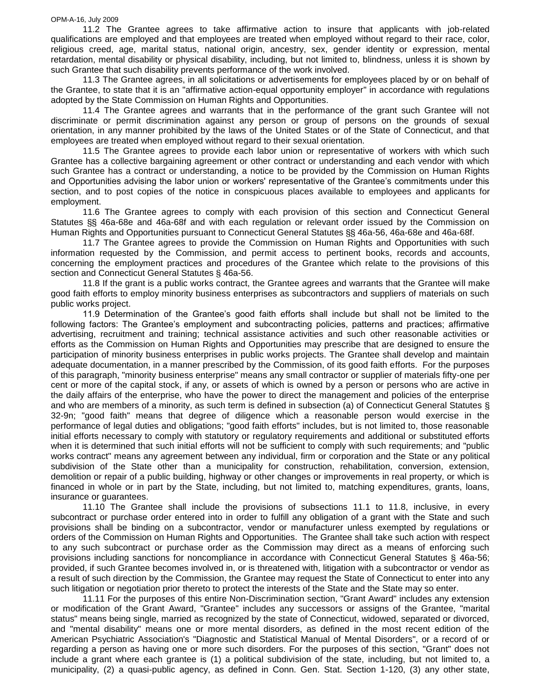11.2 The Grantee agrees to take affirmative action to insure that applicants with job-related qualifications are employed and that employees are treated when employed without regard to their race, color, religious creed, age, marital status, national origin, ancestry, sex, gender identity or expression, mental retardation, mental disability or physical disability, including, but not limited to, blindness, unless it is shown by such Grantee that such disability prevents performance of the work involved.

11.3 The Grantee agrees, in all solicitations or advertisements for employees placed by or on behalf of the Grantee, to state that it is an "affirmative action-equal opportunity employer" in accordance with regulations adopted by the State Commission on Human Rights and Opportunities.

11.4 The Grantee agrees and warrants that in the performance of the grant such Grantee will not discriminate or permit discrimination against any person or group of persons on the grounds of sexual orientation, in any manner prohibited by the laws of the United States or of the State of Connecticut, and that employees are treated when employed without regard to their sexual orientation.

11.5 The Grantee agrees to provide each labor union or representative of workers with which such Grantee has a collective bargaining agreement or other contract or understanding and each vendor with which such Grantee has a contract or understanding, a notice to be provided by the Commission on Human Rights and Opportunities advising the labor union or workers' representative of the Grantee's commitments under this section, and to post copies of the notice in conspicuous places available to employees and applicants for employment.

11.6 The Grantee agrees to comply with each provision of this section and Connecticut General Statutes §§ 46a-68e and 46a-68f and with each regulation or relevant order issued by the Commission on Human Rights and Opportunities pursuant to Connecticut General Statutes §§ 46a-56, 46a-68e and 46a-68f.

11.7 The Grantee agrees to provide the Commission on Human Rights and Opportunities with such information requested by the Commission, and permit access to pertinent books, records and accounts, concerning the employment practices and procedures of the Grantee which relate to the provisions of this section and Connecticut General Statutes § 46a-56.

11.8 If the grant is a public works contract, the Grantee agrees and warrants that the Grantee will make good faith efforts to employ minority business enterprises as subcontractors and suppliers of materials on such public works project.

11.9 Determination of the Grantee's good faith efforts shall include but shall not be limited to the following factors: The Grantee's employment and subcontracting policies, patterns and practices; affirmative advertising, recruitment and training; technical assistance activities and such other reasonable activities or efforts as the Commission on Human Rights and Opportunities may prescribe that are designed to ensure the participation of minority business enterprises in public works projects. The Grantee shall develop and maintain adequate documentation, in a manner prescribed by the Commission, of its good faith efforts. For the purposes of this paragraph, "minority business enterprise" means any small contractor or supplier of materials fifty-one per cent or more of the capital stock, if any, or assets of which is owned by a person or persons who are active in the daily affairs of the enterprise, who have the power to direct the management and policies of the enterprise and who are members of a minority, as such term is defined in subsection (a) of Connecticut General Statutes § 32-9n; "good faith" means that degree of diligence which a reasonable person would exercise in the performance of legal duties and obligations; "good faith efforts" includes, but is not limited to, those reasonable initial efforts necessary to comply with statutory or regulatory requirements and additional or substituted efforts when it is determined that such initial efforts will not be sufficient to comply with such requirements; and "public works contract" means any agreement between any individual, firm or corporation and the State or any political subdivision of the State other than a municipality for construction, rehabilitation, conversion, extension, demolition or repair of a public building, highway or other changes or improvements in real property, or which is financed in whole or in part by the State, including, but not limited to, matching expenditures, grants, loans, insurance or guarantees.

11.10 The Grantee shall include the provisions of subsections 11.1 to 11.8, inclusive, in every subcontract or purchase order entered into in order to fulfill any obligation of a grant with the State and such provisions shall be binding on a subcontractor, vendor or manufacturer unless exempted by regulations or orders of the Commission on Human Rights and Opportunities. The Grantee shall take such action with respect to any such subcontract or purchase order as the Commission may direct as a means of enforcing such provisions including sanctions for noncompliance in accordance with Connecticut General Statutes § 46a-56; provided, if such Grantee becomes involved in, or is threatened with, litigation with a subcontractor or vendor as a result of such direction by the Commission, the Grantee may request the State of Connecticut to enter into any such litigation or negotiation prior thereto to protect the interests of the State and the State may so enter.

11.11 For the purposes of this entire Non-Discrimination section, "Grant Award" includes any extension or modification of the Grant Award, "Grantee" includes any successors or assigns of the Grantee, "marital status" means being single, married as recognized by the state of Connecticut, widowed, separated or divorced, and "mental disability" means one or more mental disorders, as defined in the most recent edition of the American Psychiatric Association's "Diagnostic and Statistical Manual of Mental Disorders", or a record of or regarding a person as having one or more such disorders. For the purposes of this section, "Grant" does not include a grant where each grantee is (1) a political subdivision of the state, including, but not limited to, a municipality, (2) a quasi-public agency, as defined in Conn. Gen. Stat. Section 1-120, (3) any other state,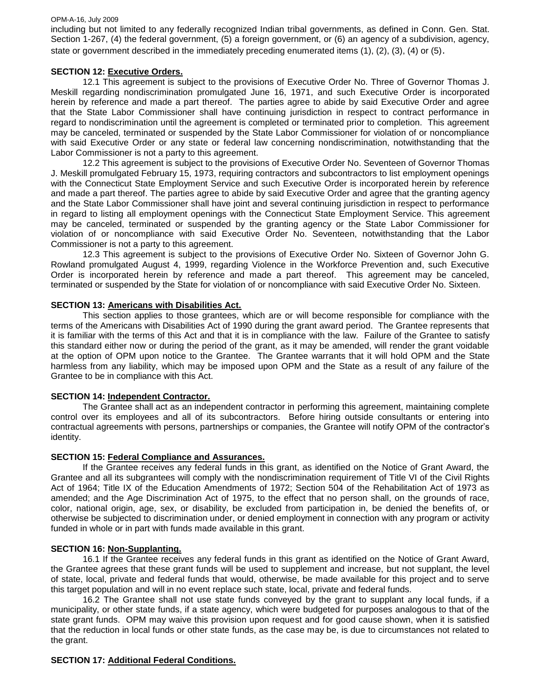including but not limited to any federally recognized Indian tribal governments, as defined in Conn. Gen. Stat. Section 1-267, (4) the federal government, (5) a foreign government, or (6) an agency of a subdivision, agency, state or government described in the immediately preceding enumerated items (1), (2), (3), (4) or (5).

#### **SECTION 12: Executive Orders.**

12.1 This agreement is subject to the provisions of Executive Order No. Three of Governor Thomas J. Meskill regarding nondiscrimination promulgated June 16, 1971, and such Executive Order is incorporated herein by reference and made a part thereof. The parties agree to abide by said Executive Order and agree that the State Labor Commissioner shall have continuing jurisdiction in respect to contract performance in regard to nondiscrimination until the agreement is completed or terminated prior to completion. This agreement may be canceled, terminated or suspended by the State Labor Commissioner for violation of or noncompliance with said Executive Order or any state or federal law concerning nondiscrimination, notwithstanding that the Labor Commissioner is not a party to this agreement.

12.2 This agreement is subject to the provisions of Executive Order No. Seventeen of Governor Thomas J. Meskill promulgated February 15, 1973, requiring contractors and subcontractors to list employment openings with the Connecticut State Employment Service and such Executive Order is incorporated herein by reference and made a part thereof. The parties agree to abide by said Executive Order and agree that the granting agency and the State Labor Commissioner shall have joint and several continuing jurisdiction in respect to performance in regard to listing all employment openings with the Connecticut State Employment Service. This agreement may be canceled, terminated or suspended by the granting agency or the State Labor Commissioner for violation of or noncompliance with said Executive Order No. Seventeen, notwithstanding that the Labor Commissioner is not a party to this agreement.

12.3 This agreement is subject to the provisions of Executive Order No. Sixteen of Governor John G. Rowland promulgated August 4, 1999, regarding Violence in the Workforce Prevention and, such Executive Order is incorporated herein by reference and made a part thereof. This agreement may be canceled, terminated or suspended by the State for violation of or noncompliance with said Executive Order No. Sixteen.

#### **SECTION 13: Americans with Disabilities Act.**

This section applies to those grantees, which are or will become responsible for compliance with the terms of the Americans with Disabilities Act of 1990 during the grant award period. The Grantee represents that it is familiar with the terms of this Act and that it is in compliance with the law. Failure of the Grantee to satisfy this standard either now or during the period of the grant, as it may be amended, will render the grant voidable at the option of OPM upon notice to the Grantee. The Grantee warrants that it will hold OPM and the State harmless from any liability, which may be imposed upon OPM and the State as a result of any failure of the Grantee to be in compliance with this Act.

### **SECTION 14: Independent Contractor.**

The Grantee shall act as an independent contractor in performing this agreement, maintaining complete control over its employees and all of its subcontractors. Before hiring outside consultants or entering into contractual agreements with persons, partnerships or companies, the Grantee will notify OPM of the contractor's identity.

### **SECTION 15: Federal Compliance and Assurances.**

If the Grantee receives any federal funds in this grant, as identified on the Notice of Grant Award, the Grantee and all its subgrantees will comply with the nondiscrimination requirement of Title VI of the Civil Rights Act of 1964; Title IX of the Education Amendments of 1972; Section 504 of the Rehabilitation Act of 1973 as amended; and the Age Discrimination Act of 1975, to the effect that no person shall, on the grounds of race, color, national origin, age, sex, or disability, be excluded from participation in, be denied the benefits of, or otherwise be subjected to discrimination under, or denied employment in connection with any program or activity funded in whole or in part with funds made available in this grant.

#### **SECTION 16: Non-Supplanting.**

16.1 If the Grantee receives any federal funds in this grant as identified on the Notice of Grant Award, the Grantee agrees that these grant funds will be used to supplement and increase, but not supplant, the level of state, local, private and federal funds that would, otherwise, be made available for this project and to serve this target population and will in no event replace such state, local, private and federal funds.

16.2 The Grantee shall not use state funds conveyed by the grant to supplant any local funds, if a municipality, or other state funds, if a state agency, which were budgeted for purposes analogous to that of the state grant funds. OPM may waive this provision upon request and for good cause shown, when it is satisfied that the reduction in local funds or other state funds, as the case may be, is due to circumstances not related to the grant.

#### **SECTION 17: Additional Federal Conditions.**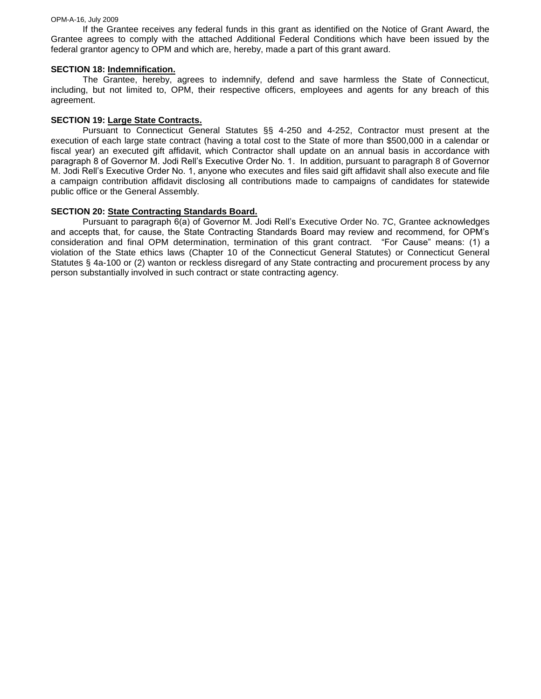If the Grantee receives any federal funds in this grant as identified on the Notice of Grant Award, the Grantee agrees to comply with the attached Additional Federal Conditions which have been issued by the federal grantor agency to OPM and which are, hereby, made a part of this grant award.

#### **SECTION 18: Indemnification.**

The Grantee, hereby, agrees to indemnify, defend and save harmless the State of Connecticut, including, but not limited to, OPM, their respective officers, employees and agents for any breach of this agreement.

#### **SECTION 19: Large State Contracts.**

Pursuant to Connecticut General Statutes §§ 4-250 and 4-252, Contractor must present at the execution of each large state contract (having a total cost to the State of more than \$500,000 in a calendar or fiscal year) an executed gift affidavit, which Contractor shall update on an annual basis in accordance with paragraph 8 of Governor M. Jodi Rell's Executive Order No. 1. In addition, pursuant to paragraph 8 of Governor M. Jodi Rell's Executive Order No. 1, anyone who executes and files said gift affidavit shall also execute and file a campaign contribution affidavit disclosing all contributions made to campaigns of candidates for statewide public office or the General Assembly.

#### **SECTION 20: State Contracting Standards Board.**

Pursuant to paragraph 6(a) of Governor M. Jodi Rell's Executive Order No. 7C, Grantee acknowledges and accepts that, for cause, the State Contracting Standards Board may review and recommend, for OPM's consideration and final OPM determination, termination of this grant contract. "For Cause" means: (1) a violation of the State ethics laws (Chapter 10 of the Connecticut General Statutes) or Connecticut General Statutes § 4a-100 or (2) wanton or reckless disregard of any State contracting and procurement process by any person substantially involved in such contract or state contracting agency.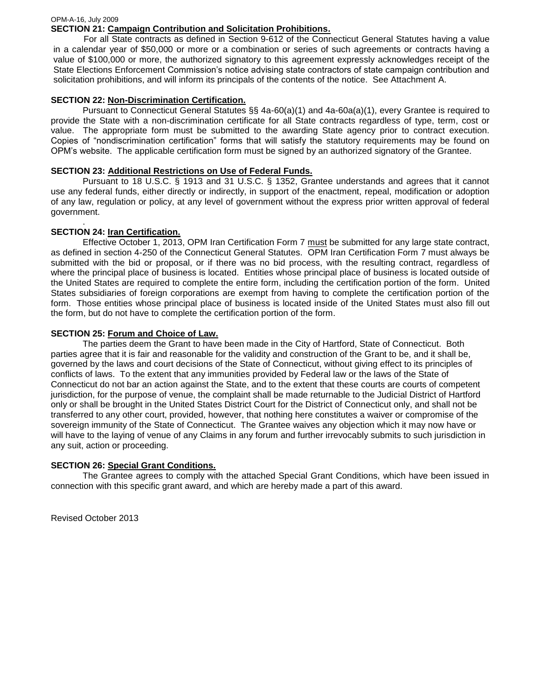#### OPM-A-16, July 2009 **SECTION 21: Campaign Contribution and Solicitation Prohibitions.**

For all State contracts as defined in Section 9-612 of the Connecticut General Statutes having a value in a calendar year of \$50,000 or more or a combination or series of such agreements or contracts having a value of \$100,000 or more, the authorized signatory to this agreement expressly acknowledges receipt of the State Elections Enforcement Commission's notice advising state contractors of state campaign contribution and solicitation prohibitions, and will inform its principals of the contents of the notice. See Attachment A.

### **SECTION 22: Non-Discrimination Certification.**

Pursuant to Connecticut General Statutes §§ 4a-60(a)(1) and 4a-60a(a)(1), every Grantee is required to provide the State with a non-discrimination certificate for all State contracts regardless of type, term, cost or value. The appropriate form must be submitted to the awarding State agency prior to contract execution. Copies of "nondiscrimination certification" forms that will satisfy the statutory requirements may be found on OPM's website. The applicable certification form must be signed by an authorized signatory of the Grantee.

### **SECTION 23: Additional Restrictions on Use of Federal Funds.**

Pursuant to 18 U.S.C. § 1913 and 31 U.S.C. § 1352, Grantee understands and agrees that it cannot use any federal funds, either directly or indirectly, in support of the enactment, repeal, modification or adoption of any law, regulation or policy, at any level of government without the express prior written approval of federal government.

#### . **SECTION 24: Iran Certification.**

Effective October 1, 2013, OPM Iran Certification Form 7 must be submitted for any large state contract, as defined in section 4-250 of the Connecticut General Statutes. OPM Iran Certification Form 7 must always be submitted with the bid or proposal, or if there was no bid process, with the resulting contract, regardless of where the principal place of business is located. Entities whose principal place of business is located outside of the United States are required to complete the entire form, including the certification portion of the form. United States subsidiaries of foreign corporations are exempt from having to complete the certification portion of the form. Those entities whose principal place of business is located inside of the United States must also fill out the form, but do not have to complete the certification portion of the form.

### **SECTION 25: Forum and Choice of Law.**

The parties deem the Grant to have been made in the City of Hartford, State of Connecticut. Both parties agree that it is fair and reasonable for the validity and construction of the Grant to be, and it shall be, governed by the laws and court decisions of the State of Connecticut, without giving effect to its principles of conflicts of laws. To the extent that any immunities provided by Federal law or the laws of the State of Connecticut do not bar an action against the State, and to the extent that these courts are courts of competent jurisdiction, for the purpose of venue, the complaint shall be made returnable to the Judicial District of Hartford only or shall be brought in the United States District Court for the District of Connecticut only, and shall not be transferred to any other court, provided, however, that nothing here constitutes a waiver or compromise of the sovereign immunity of the State of Connecticut. The Grantee waives any objection which it may now have or will have to the laying of venue of any Claims in any forum and further irrevocably submits to such jurisdiction in any suit, action or proceeding.

#### **SECTION 26: Special Grant Conditions.**

The Grantee agrees to comply with the attached Special Grant Conditions, which have been issued in connection with this specific grant award, and which are hereby made a part of this award.

Revised October 2013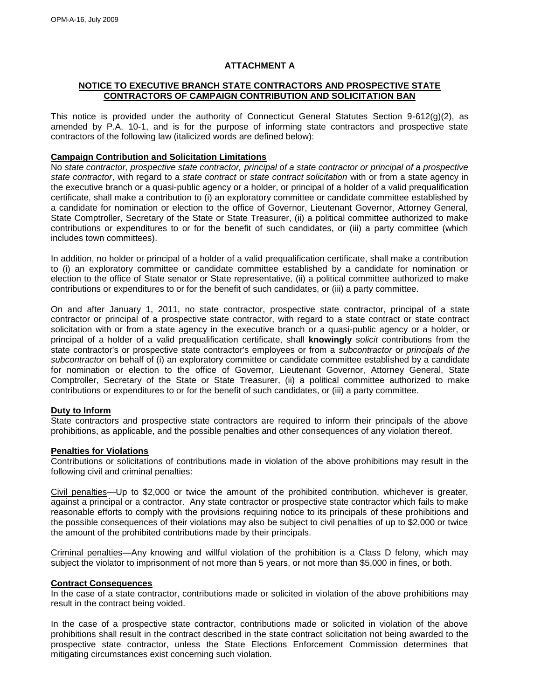### **ATTACHMENT A**

### **NOTICE TO EXECUTIVE BRANCH STATE CONTRACTORS AND PROSPECTIVE STATE CONTRACTORS OF CAMPAIGN CONTRIBUTION AND SOLICITATION BAN**

This notice is provided under the authority of Connecticut General Statutes Section 9-612(g)(2), as amended by P.A. 10-1, and is for the purpose of informing state contractors and prospective state contractors of the following law (italicized words are defined below):

## **Campaign Contribution and Solicitation Limitations**

No *state contractor, prospective state contractor, principal of a state contractor or principal of a prospective state contractor*, with regard to a *state contract* or *state contract solicitation* with or from a state agency in the executive branch or a quasi-public agency or a holder, or principal of a holder of a valid prequalification certificate, shall make a contribution to (i) an exploratory committee or candidate committee established by a candidate for nomination or election to the office of Governor, Lieutenant Governor, Attorney General, State Comptroller, Secretary of the State or State Treasurer, (ii) a political committee authorized to make contributions or expenditures to or for the benefit of such candidates, or (iii) a party committee (which includes town committees).

In addition, no holder or principal of a holder of a valid prequalification certificate, shall make a contribution to (i) an exploratory committee or candidate committee established by a candidate for nomination or election to the office of State senator or State representative, (ii) a political committee authorized to make contributions or expenditures to or for the benefit of such candidates, or (iii) a party committee.

On and after January 1, 2011, no state contractor, prospective state contractor, principal of a state contractor or principal of a prospective state contractor, with regard to a state contract or state contract solicitation with or from a state agency in the executive branch or a quasi-public agency or a holder, or principal of a holder of a valid prequalification certificate, shall **knowingly** *solicit* contributions from the state contractor's or prospective state contractor's employees or from a *subcontractor* or *principals of the subcontractor* on behalf of (i) an exploratory committee or candidate committee established by a candidate for nomination or election to the office of Governor, Lieutenant Governor, Attorney General, State Comptroller, Secretary of the State or State Treasurer, (ii) a political committee authorized to make contributions or expenditures to or for the benefit of such candidates, or (iii) a party committee.

## **Duty to Inform**

State contractors and prospective state contractors are required to inform their principals of the above prohibitions, as applicable, and the possible penalties and other consequences of any violation thereof.

## **Penalties for Violations**

Contributions or solicitations of contributions made in violation of the above prohibitions may result in the following civil and criminal penalties:

Civil penalties—Up to \$2,000 or twice the amount of the prohibited contribution, whichever is greater, against a principal or a contractor. Any state contractor or prospective state contractor which fails to make reasonable efforts to comply with the provisions requiring notice to its principals of these prohibitions and the possible consequences of their violations may also be subject to civil penalties of up to \$2,000 or twice the amount of the prohibited contributions made by their principals.

Criminal penalties—Any knowing and willful violation of the prohibition is a Class D felony, which may subject the violator to imprisonment of not more than 5 years, or not more than \$5,000 in fines, or both.

## **Contract Consequences**

In the case of a state contractor, contributions made or solicited in violation of the above prohibitions may result in the contract being voided.

In the case of a prospective state contractor, contributions made or solicited in violation of the above prohibitions shall result in the contract described in the state contract solicitation not being awarded to the prospective state contractor, unless the State Elections Enforcement Commission determines that mitigating circumstances exist concerning such violation.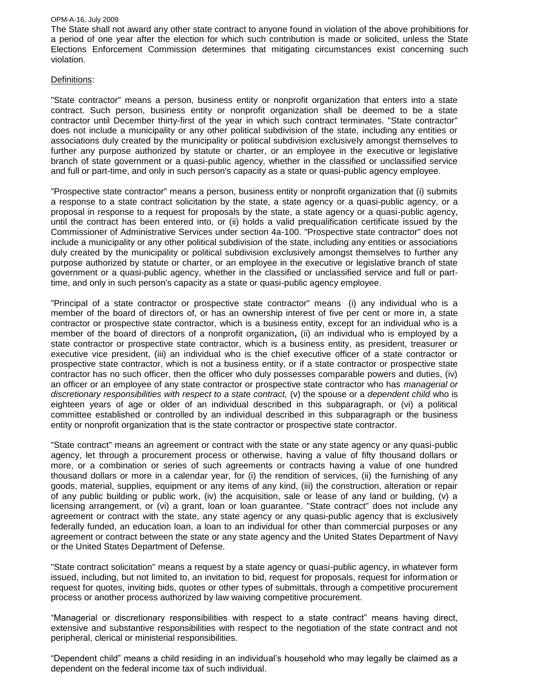The State shall not award any other state contract to anyone found in violation of the above prohibitions for a period of one year after the election for which such contribution is made or solicited, unless the State Elections Enforcement Commission determines that mitigating circumstances exist concerning such violation.

#### Definitions:

"State contractor" means a person, business entity or nonprofit organization that enters into a state contract. Such person, business entity or nonprofit organization shall be deemed to be a state contractor until December thirty-first of the year in which such contract terminates. "State contractor" does not include a municipality or any other political subdivision of the state, including any entities or associations duly created by the municipality or political subdivision exclusively amongst themselves to further any purpose authorized by statute or charter, or an employee in the executive or legislative branch of state government or a quasi-public agency, whether in the classified or unclassified service and full or part-time, and only in such person's capacity as a state or quasi-public agency employee.

"Prospective state contractor" means a person, business entity or nonprofit organization that (i) submits a response to a state contract solicitation by the state, a state agency or a quasi-public agency, or a proposal in response to a request for proposals by the state, a state agency or a quasi-public agency, until the contract has been entered into, or (ii) holds a valid prequalification certificate issued by the Commissioner of Administrative Services under section 4a-100. "Prospective state contractor" does not include a municipality or any other political subdivision of the state, including any entities or associations duly created by the municipality or political subdivision exclusively amongst themselves to further any purpose authorized by statute or charter, or an employee in the executive or legislative branch of state government or a quasi-public agency, whether in the classified or unclassified service and full or parttime, and only in such person's capacity as a state or quasi-public agency employee.

"Principal of a state contractor or prospective state contractor" means (i) any individual who is a member of the board of directors of, or has an ownership interest of five per cent or more in, a state contractor or prospective state contractor, which is a business entity, except for an individual who is a member of the board of directors of a nonprofit organization**,** (ii) an individual who is employed by a state contractor or prospective state contractor, which is a business entity, as president, treasurer or executive vice president, (iii) an individual who is the chief executive officer of a state contractor or prospective state contractor, which is not a business entity, or if a state contractor or prospective state contractor has no such officer, then the officer who duly possesses comparable powers and duties, (iv) an officer or an employee of any state contractor or prospective state contractor who has *managerial or discretionary responsibilities with respect to a state contract,* (v) the spouse or a *dependent child* who is eighteen years of age or older of an individual described in this subparagraph, or (vi) a political committee established or controlled by an individual described in this subparagraph or the business entity or nonprofit organization that is the state contractor or prospective state contractor.

"State contract" means an agreement or contract with the state or any state agency or any quasi-public agency, let through a procurement process or otherwise, having a value of fifty thousand dollars or more, or a combination or series of such agreements or contracts having a value of one hundred thousand dollars or more in a calendar year, for (i) the rendition of services, (ii) the furnishing of any goods, material, supplies, equipment or any items of any kind, (iii) the construction, alteration or repair of any public building or public work, (iv) the acquisition, sale or lease of any land or building, (v) a licensing arrangement, or (vi) a grant, loan or loan guarantee. "State contract" does not include any agreement or contract with the state, any state agency or any quasi-public agency that is exclusively federally funded, an education loan, a loan to an individual for other than commercial purposes or any agreement or contract between the state or any state agency and the United States Department of Navy or the United States Department of Defense.

"State contract solicitation" means a request by a state agency or quasi-public agency, in whatever form issued, including, but not limited to, an invitation to bid, request for proposals, request for information or request for quotes, inviting bids, quotes or other types of submittals, through a competitive procurement process or another process authorized by law waiving competitive procurement.

"Managerial or discretionary responsibilities with respect to a state contract" means having direct, extensive and substantive responsibilities with respect to the negotiation of the state contract and not peripheral, clerical or ministerial responsibilities.

"Dependent child" means a child residing in an individual's household who may legally be claimed as a dependent on the federal income tax of such individual.